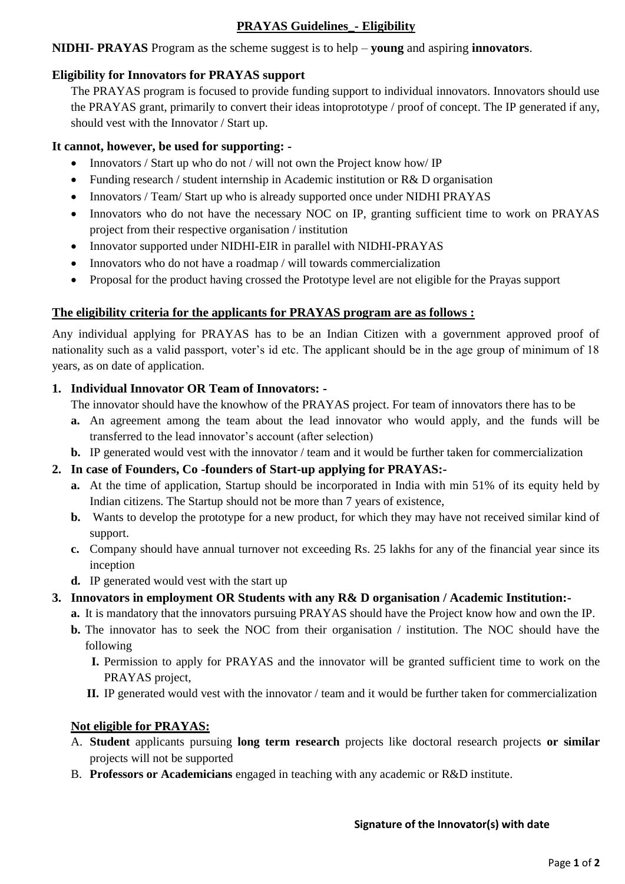# **PRAYAS Guidelines\_- Eligibility**

**NIDHI- PRAYAS** Program as the scheme suggest is to help – **young** and aspiring **innovators**.

## **Eligibility for Innovators for PRAYAS support**

The PRAYAS program is focused to provide funding support to individual innovators. Innovators should use the PRAYAS grant, primarily to convert their ideas intoprototype / proof of concept. The IP generated if any, should vest with the Innovator / Start up.

## **It cannot, however, be used for supporting: -**

- Innovators / Start up who do not / will not own the Project know how/ IP
- Funding research / student internship in Academic institution or R& D organisation
- Innovators / Team/ Start up who is already supported once under NIDHI PRAYAS
- Innovators who do not have the necessary NOC on IP, granting sufficient time to work on PRAYAS project from their respective organisation / institution
- Innovator supported under NIDHI-EIR in parallel with NIDHI-PRAYAS
- Innovators who do not have a roadmap / will towards commercialization
- Proposal for the product having crossed the Prototype level are not eligible for the Prayas support

## **The eligibility criteria for the applicants for PRAYAS program are as follows :**

Any individual applying for PRAYAS has to be an Indian Citizen with a government approved proof of nationality such as a valid passport, voter's id etc. The applicant should be in the age group of minimum of 18 years, as on date of application.

## **1. Individual Innovator OR Team of Innovators: -**

The innovator should have the knowhow of the PRAYAS project. For team of innovators there has to be

- **a.** An agreement among the team about the lead innovator who would apply, and the funds will be transferred to the lead innovator's account (after selection)
- **b.** IP generated would vest with the innovator / team and it would be further taken for commercialization

## **2. In case of Founders, Co -founders of Start-up applying for PRAYAS:-**

- **a.** At the time of application, Startup should be incorporated in India with min 51% of its equity held by Indian citizens. The Startup should not be more than 7 years of existence,
- **b.** Wants to develop the prototype for a new product, for which they may have not received similar kind of support.
- **c.** Company should have annual turnover not exceeding Rs. 25 lakhs for any of the financial year since its inception
- **d.** IP generated would vest with the start up

## **3. Innovators in employment OR Students with any R& D organisation / Academic Institution:-**

- **a.** It is mandatory that the innovators pursuing PRAYAS should have the Project know how and own the IP.
- **b.** The innovator has to seek the NOC from their organisation / institution. The NOC should have the following
	- **I.** Permission to apply for PRAYAS and the innovator will be granted sufficient time to work on the PRAYAS project,
	- **II.** IP generated would vest with the innovator / team and it would be further taken for commercialization

## **Not eligible for PRAYAS:**

- A. **Student** applicants pursuing **long term research** projects like doctoral research projects **or similar** projects will not be supported
- B. **Professors or Academicians** engaged in teaching with any academic or R&D institute.

## **Signature of the Innovator(s) with date**